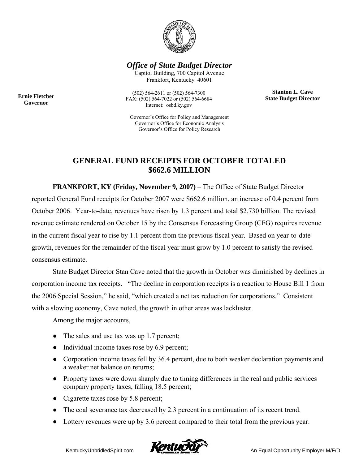

*Office of State Budget Director* 

Capitol Building, 700 Capitol Avenue Frankfort, Kentucky 40601

> **Stanton L. Cave State Budget Director**

**Ernie Fletcher Governor** 

(502) 564-2611 or (502) 564-7300 FAX: (502) 564-7022 or (502) 564-6684 Internet: osbd.ky.gov

Governor's Office for Policy and Management Governor's Office for Economic Analysis Governor's Office for Policy Research

## **GENERAL FUND RECEIPTS FOR OCTOBER TOTALED \$662.6 MILLION**

**FRANKFORT, KY (Friday, November 9, 2007)** – The Office of State Budget Director reported General Fund receipts for October 2007 were \$662.6 million, an increase of 0.4 percent from October 2006. Year-to-date, revenues have risen by 1.3 percent and total \$2.730 billion. The revised revenue estimate rendered on October 15 by the Consensus Forecasting Group (CFG) requires revenue in the current fiscal year to rise by 1.1 percent from the previous fiscal year. Based on year-to-date growth, revenues for the remainder of the fiscal year must grow by 1.0 percent to satisfy the revised consensus estimate.

State Budget Director Stan Cave noted that the growth in October was diminished by declines in corporation income tax receipts. "The decline in corporation receipts is a reaction to House Bill 1 from the 2006 Special Session," he said, "which created a net tax reduction for corporations." Consistent with a slowing economy, Cave noted, the growth in other areas was lackluster.

Among the major accounts,

- The sales and use tax was up 1.7 percent;
- Individual income taxes rose by 6.9 percent;
- Corporation income taxes fell by 36.4 percent, due to both weaker declaration payments and a weaker net balance on returns;
- Property taxes were down sharply due to timing differences in the real and public services company property taxes, falling 18.5 percent;
- Cigarette taxes rose by 5.8 percent;
- The coal severance tax decreased by 2.3 percent in a continuation of its recent trend.
- Lottery revenues were up by 3.6 percent compared to their total from the previous year.

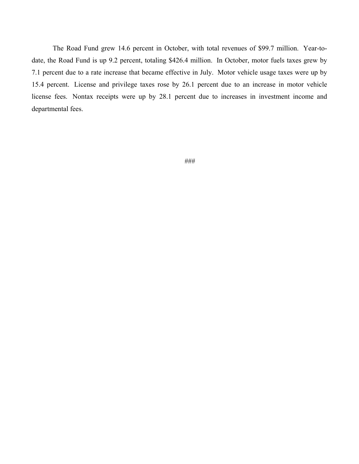The Road Fund grew 14.6 percent in October, with total revenues of \$99.7 million. Year-todate, the Road Fund is up 9.2 percent, totaling \$426.4 million. In October, motor fuels taxes grew by 7.1 percent due to a rate increase that became effective in July. Motor vehicle usage taxes were up by 15.4 percent. License and privilege taxes rose by 26.1 percent due to an increase in motor vehicle license fees. Nontax receipts were up by 28.1 percent due to increases in investment income and departmental fees.

###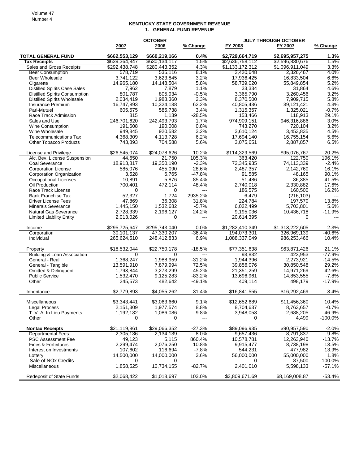## **KENTUCKY STATE GOVERNMENT REVENUE 1. GENERAL FUND REVENUE**

|                                                                             |                        | <b>OCTOBER</b>         |                        | <b>JULY THROUGH OCTOBER</b> |                         |              |
|-----------------------------------------------------------------------------|------------------------|------------------------|------------------------|-----------------------------|-------------------------|--------------|
|                                                                             | 2007                   | 2006                   | % Change               | FY 2008                     | FY 2007                 | % Change     |
| <b>TOTAL GENERAL FUND</b>                                                   | \$662,553,129          | \$660,219,166          | $0.4\%$                | \$2,729,664,719             | \$2,695,957,275         | 1.3%         |
| <b>Tax Receipts</b>                                                         | \$639,364,847          | \$630,134,117          | 1.5%                   | \$2,636,758,112             | \$2,596,830,676         | 1.5%         |
| Sales and Gross Receipts                                                    | \$292,438,748          | \$280,443,352          | 4.3%                   | \$1,133,172,312             | \$1,096,911,049         | 3.3%         |
| <b>Beer Consumption</b>                                                     | 578,719                | 535,116                | 8.1%                   | 2,420,648                   | 2,326,467               | 4.0%         |
| <b>Beer Wholesale</b>                                                       | 3,741,122              | 3,623,845              | 3.2%                   | 17,936,425                  | 16,833,504              | 6.6%         |
| Cigarette                                                                   | 14,965,180             | 14,148,504             | 5.8%                   | 58,739,020                  | 55,849,854              | 5.2%         |
| <b>Distilled Spirits Case Sales</b><br><b>Distilled Spirits Consumption</b> | 7,962<br>801,787       | 7,879<br>805,934       | 1.1%<br>$-0.5%$        | 33,334<br>3,365,790         | 31,864<br>3,260,456     | 4.6%<br>3.2% |
| <b>Distilled Spirits Wholesale</b>                                          | 2,034,419              | 1,988,360              | 2.3%                   | 8,370,500                   | 7,909,715               | 5.8%         |
| Insurance Premium                                                           | 16,747,893             | 10,324,138             | 62.2%                  | 40,805,436                  | 39,121,421              | 4.3%         |
| Pari-Mutuel                                                                 | 605,575                | 585,738                | 3.4%                   | 1,315,357                   | 1,325,021               | $-0.7%$      |
| Race Track Admission                                                        | 815                    | 1,139                  | $-28.5%$               | 153,466                     | 118,913                 | 29.1%        |
| Sales and Use                                                               | 246,701,620            | 242,493,793            | 1.7%                   | 974,909,151                 | 946,316,886             | 3.0%         |
| <b>Wine Consumption</b>                                                     | 191,608                | 190,008                | 0.8%                   | 743,270                     | 720,104                 | 3.2%         |
| Wine Wholesale                                                              | 949,845                | 920,582                | 3.2%                   | 3,610,124                   | 3,453,835               | 4.5%         |
| <b>Telecommunications Tax</b>                                               | 4,368,309              | 4,113,728              | 6.2%                   | 17,694,140                  | 16,755,154              | 5.6%         |
| <b>Other Tobacco Products</b>                                               | 743,893                | 704,588                | 5.6%                   | 3,075,651                   | 2,887,857               | 6.5%         |
|                                                                             |                        |                        |                        |                             |                         | 20.2%        |
| License and Privilege<br>Alc. Bev. License Suspension                       | \$26,545,074<br>44.650 | \$24,078,626<br>21,750 | 10.2%<br>105.3%        | \$114,329,569<br>363.420    | \$95,076,767<br>122,750 | 196.1%       |
| Coal Severance                                                              | 18,913,817             | 19,350,190             | $-2.3%$                | 72,345,935                  | 74,113,339              | $-2.4%$      |
| <b>Corporation License</b>                                                  | 585,076                | 455,090                | 28.6%                  | 2,487,357                   | 2,142,760               | 16.1%        |
| Corporation Organization                                                    | 3,528                  | 6,765                  | $-47.8%$               | 91.585                      | 48,165                  | 90.1%        |
| <b>Occupational Licenses</b>                                                | 10,891                 | 5,876                  | 85.4%                  | 51,486                      | 36,385                  | 41.5%        |
| Oil Production                                                              | 700,401                | 472,114                | 48.4%                  | 2,740,018                   | 2,330,882               | 17.6%        |
| Race Track License                                                          | 0                      | 0                      | $\overline{a}$         | 186,575                     | 160,500                 | 16.2%        |
| <b>Bank Franchise Tax</b>                                                   | 52,327                 | 1,724                  | 2935.2%                | 6,479                       | (216, 103)              | $---$        |
| <b>Driver License Fees</b>                                                  | 47,869                 | 36,308                 | 31.8%                  | 224,784                     | 197,570                 | 13.8%        |
| <b>Minerals Severance</b>                                                   | 1,445,150              | 1,532,682              | $-5.7%$                | 6,022,499                   | 5,703,801               | 5.6%         |
| <b>Natural Gas Severance</b>                                                | 2,728,339              | 2,196,127              | 24.2%                  | 9,195,036                   | 10,436,718              | $-11.9%$     |
| <b>Limited Liability Entity</b>                                             | 2,013,026              | 0                      | $---$                  | 20,614,395                  | $\Omega$                |              |
| Income                                                                      | \$295,725,647          | \$295,743,040          | 0.0%                   | \$1,282,410,349             | \$1,313,222,605         | $-2.3%$      |
| Corporation                                                                 | 30,101,137             | 47,330,207             | -36.4%                 | 194,073,301                 | 326,969,139             | -40.6%       |
| Individual                                                                  | 265,624,510            | 248,412,833            | 6.9%                   | 1,088,337,049               | 986,253,466             | 10.4%        |
| Property                                                                    | \$18,532,044           | \$22,750,178           | $-18.5%$               | \$77,351,638                | \$63,871,426            | 21.1%        |
| <b>Building &amp; Loan Association</b>                                      | 0                      | $\Omega$               | $\overline{a}$         | 93,832                      | 423,953                 | -77.9%       |
| General - Real                                                              | 1,368,247              | 1,988,959              | $-31.2%$               | 1,944,396                   | 2,273,921               | $-14.5%$     |
| General - Tangible                                                          | 13,591,910             | 7,879,994              | 72.5%                  | 39,856,076                  | 30,850,548              | 29.2%        |
| Omitted & Delinquent                                                        | 1,793,844              | 3,273,299              | $-45.2%$               | 21,351,259                  | 14,971,269              | 42.6%        |
| <b>Public Service</b>                                                       | 1,532,470              | 9,125,283              | $-83.2%$               | 13,696,961                  | 14,853,555              | $-7.8%$      |
| Other                                                                       | 245,573                | 482,642                | $-49.1%$               | 409,114                     | 498,179                 | $-17.9%$     |
| Inheritance                                                                 | \$2,779,893            | \$4,055,262            | $-31.4%$               | \$16,841,555                | \$16,292,469            | 3.4%         |
| Miscellaneous                                                               | \$3,343,441            | \$3,063,660            | 9.1%                   | \$12,652,689                | \$11,456,360            | 10.4%        |
| <b>Legal Process</b>                                                        | 2,151,309              | 1,977,574              | 8.8%                   | 8,704,637                   | 8,763,657               | $-0.7%$      |
| T. V. A. In Lieu Payments                                                   | 1,192,132              | 1,086,086              | 9.8%                   | 3,948,053                   | 2,688,205               | 46.9%        |
| Other                                                                       | 0                      | 0                      | $---$                  | 0                           | 4,499                   | $-100.0\%$   |
| <b>Nontax Receipts</b>                                                      | \$21,119,861           | \$29,066,352           | $-27.3%$               | \$89,096,935                | \$90,957,590            | $-2.0%$      |
| <b>Departmental Fees</b>                                                    | 2,305,136              | 2,134,139              | $8.0\%$                | 9,657,436                   | 8,791,837               | $9.8\%$      |
| PSC Assessment Fee                                                          | 49.123                 | 5,115                  | 860.4%                 | 10,578,781                  | 12,263,940              | $-13.7%$     |
| Fines & Forfeitures                                                         | 2,299,474              | 2,076,250              | 10.8%                  | 9,915,477                   | 8,738,198               | 13.5%        |
| Interest on Investments                                                     | 107,602                | 116,694                | $-7.8%$                | 544,231                     | 477,982                 | 13.9%        |
| Lottery                                                                     | 14,500,000             | 14,000,000             | 3.6%                   | 56,000,000                  | 55,000,000              | 1.8%         |
| Sale of NO <sub>x</sub> Credits                                             | 0                      | $\Omega$               | $\qquad \qquad \cdots$ | 0                           | 87,500                  | $-100.0\%$   |
| Miscellaneous                                                               | 1,858,525              | 10,734,155             | $-82.7%$               | 2,401,010                   | 5,598,133               | $-57.1%$     |
| Redeposit of State Funds                                                    | \$2,068,422            | \$1,018,697            | 103.0%                 | \$3,809,671.69              | \$8,169,008.87          | $-53.4%$     |